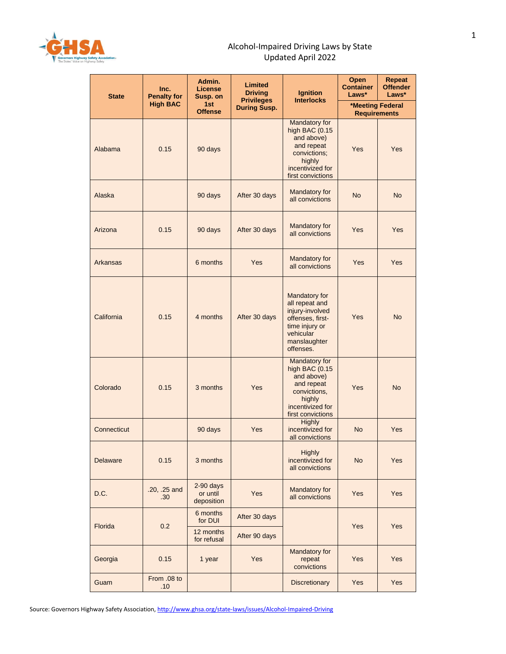

## Alcohol-Impaired Driving Laws by State Updated April 2022

| <b>State</b>    | Inc.<br><b>Penalty for</b> | Admin.<br>License<br>Susp. on         | Limited<br><b>Driving</b>                | <b>Ignition</b>                                                                                                                    | <b>Open</b><br><b>Container</b><br>Laws* | <b>Repeat</b><br><b>Offender</b><br>Laws* |
|-----------------|----------------------------|---------------------------------------|------------------------------------------|------------------------------------------------------------------------------------------------------------------------------------|------------------------------------------|-------------------------------------------|
|                 | <b>High BAC</b>            | 1st<br><b>Offense</b>                 | <b>Privileges</b><br><b>During Susp.</b> | <b>Interlocks</b>                                                                                                                  | *Meeting Federal<br><b>Requirements</b>  |                                           |
| Alabama         | 0.15                       | 90 days                               |                                          | Mandatory for<br>high BAC (0.15<br>and above)<br>and repeat<br>convictions;<br>highly<br>incentivized for<br>first convictions     | Yes                                      | Yes                                       |
| Alaska          |                            | 90 days                               | After 30 days                            | Mandatory for<br>all convictions                                                                                                   | <b>No</b>                                | <b>No</b>                                 |
| Arizona         | 0.15                       | 90 days                               | After 30 days                            | Mandatory for<br>all convictions                                                                                                   | Yes                                      | Yes                                       |
| <b>Arkansas</b> |                            | 6 months                              | Yes                                      | Mandatory for<br>all convictions                                                                                                   | <b>Yes</b>                               | Yes                                       |
| California      | 0.15                       | 4 months                              | After 30 days                            | Mandatory for<br>all repeat and<br>injury-involved<br>offenses, first-<br>time injury or<br>vehicular<br>manslaughter<br>offenses. | Yes                                      | <b>No</b>                                 |
| Colorado        | 0.15                       | 3 months                              | Yes                                      | Mandatory for<br>high BAC $(0.15)$<br>and above)<br>and repeat<br>convictions,<br>highly<br>incentivized for<br>first convictions  | Yes                                      | <b>No</b>                                 |
| Connecticut     |                            | 90 days                               | Yes                                      | <b>Highly</b><br>incentivized for<br>all convictions                                                                               | <b>No</b>                                | <b>Yes</b>                                |
| <b>Delaware</b> | 0.15                       | 3 months                              |                                          | <b>Highly</b><br>incentivized for<br>all convictions                                                                               | <b>No</b>                                | Yes                                       |
| D.C.            | .20, .25 and<br>.30        | $2-90$ days<br>or until<br>deposition | Yes                                      | Mandatory for<br>all convictions                                                                                                   | Yes                                      | Yes                                       |
| <b>Florida</b>  | 0.2                        | 6 months<br>for DUI                   | After 30 days                            |                                                                                                                                    | Yes                                      | Yes                                       |
|                 |                            | 12 months<br>for refusal              | After 90 days                            |                                                                                                                                    |                                          |                                           |
| Georgia         | 0.15                       | 1 year                                | Yes                                      | Mandatory for<br>repeat<br>convictions                                                                                             | Yes                                      | Yes                                       |
| Guam            | From .08 to<br>.10         |                                       |                                          | Discretionary                                                                                                                      | Yes                                      | Yes                                       |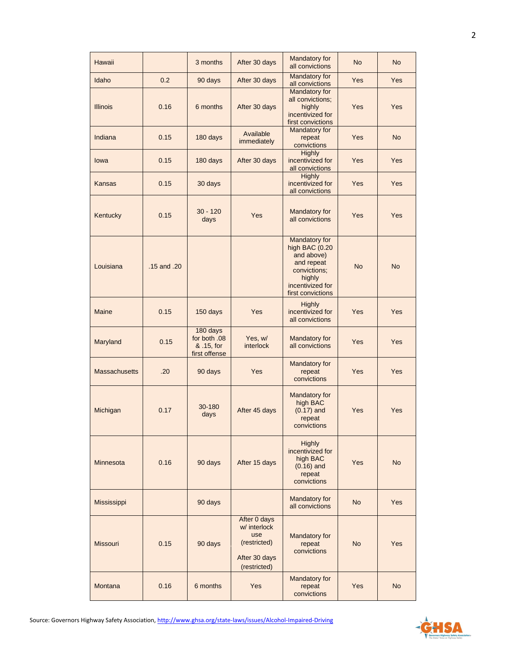| Hawaii               |             | 3 months                                                | After 30 days                                                                        | Mandatory for<br>all convictions                                                                                               | <b>No</b> | <b>No</b> |
|----------------------|-------------|---------------------------------------------------------|--------------------------------------------------------------------------------------|--------------------------------------------------------------------------------------------------------------------------------|-----------|-----------|
| Idaho                | 0.2         | 90 days                                                 | After 30 days                                                                        | Mandatory for<br>all convictions                                                                                               | Yes       | Yes       |
| <b>Illinois</b>      | 0.16        | 6 months                                                | After 30 days                                                                        | Mandatory for<br>all convictions;<br>highly<br>incentivized for<br>first convictions                                           | Yes       | Yes       |
| Indiana              | 0.15        | 180 days                                                | Available<br>immediately                                                             | Mandatory for<br>repeat<br>convictions                                                                                         | Yes       | <b>No</b> |
| lowa                 | 0.15        | 180 days                                                | After 30 days                                                                        | <b>Highly</b><br>incentivized for<br>all convictions                                                                           | Yes       | Yes       |
| <b>Kansas</b>        | 0.15        | 30 days                                                 |                                                                                      | <b>Highly</b><br>incentivized for<br>all convictions                                                                           | Yes       | Yes       |
| Kentucky             | 0.15        | $30 - 120$<br>days                                      | Yes                                                                                  | Mandatory for<br>all convictions                                                                                               | Yes       | Yes       |
| Louisiana            | .15 and .20 |                                                         |                                                                                      | Mandatory for<br>high BAC (0.20<br>and above)<br>and repeat<br>convictions;<br>highly<br>incentivized for<br>first convictions | <b>No</b> | <b>No</b> |
| <b>Maine</b>         | 0.15        | 150 days                                                | Yes                                                                                  | <b>Highly</b><br>incentivized for<br>all convictions                                                                           | Yes       | Yes       |
| Maryland             | 0.15        | 180 days<br>for both .08<br>& .15, for<br>first offense | Yes, w/<br>interlock                                                                 | Mandatory for<br>all convictions                                                                                               | Yes       | Yes       |
| <b>Massachusetts</b> | .20         | 90 days                                                 | Yes                                                                                  | Mandatory for<br>repeat<br>convictions                                                                                         | Yes       | Yes       |
| Michigan             | 0.17        | 30-180<br>days                                          | After 45 days                                                                        | Mandatory for<br>high BAC<br>$(0.17)$ and<br>repeat<br>convictions                                                             | Yes       | Yes       |
| Minnesota            | 0.16        | 90 days                                                 | After 15 days                                                                        | <b>Highly</b><br>incentivized for<br>high BAC<br>$(0.16)$ and<br>repeat<br>convictions                                         | Yes       | <b>No</b> |
| Mississippi          |             | 90 days                                                 |                                                                                      | Mandatory for<br>all convictions                                                                                               | <b>No</b> | Yes       |
| <b>Missouri</b>      | 0.15        | 90 days                                                 | After 0 days<br>w/ interlock<br>use<br>(restricted)<br>After 30 days<br>(restricted) | Mandatory for<br>repeat<br>convictions                                                                                         | <b>No</b> | Yes       |
| Montana              | 0.16        | 6 months                                                | Yes                                                                                  | Mandatory for<br>repeat<br>convictions                                                                                         | Yes       | No.       |

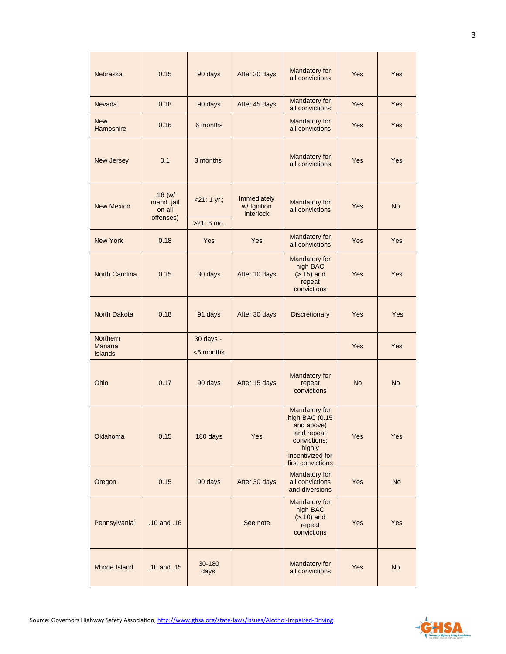| <b>Nebraska</b>                                     | 0.15                                        | 90 days                     | After 30 days                                  | Mandatory for<br>all convictions                                                                                               | Yes        | Yes        |
|-----------------------------------------------------|---------------------------------------------|-----------------------------|------------------------------------------------|--------------------------------------------------------------------------------------------------------------------------------|------------|------------|
| Nevada                                              | 0.18                                        | 90 days                     | After 45 days                                  | Mandatory for<br>all convictions                                                                                               | <b>Yes</b> | <b>Yes</b> |
| <b>New</b><br>Hampshire                             | 0.16                                        | 6 months                    |                                                | Mandatory for<br>all convictions                                                                                               | Yes        | <b>Yes</b> |
| New Jersey                                          | 0.1                                         | 3 months                    |                                                | Mandatory for<br>all convictions                                                                                               | Yes        | Yes        |
| <b>New Mexico</b>                                   | .16(w/<br>mand. jail<br>on all<br>offenses) | $21:1 yr.$ ;<br>$>21:6$ mo. | Immediately<br>w/ Ignition<br><b>Interlock</b> | <b>Mandatory for</b><br>all convictions                                                                                        | Yes        | <b>No</b>  |
| <b>New York</b>                                     | 0.18                                        | <b>Yes</b>                  | <b>Yes</b>                                     | Mandatory for<br>all convictions                                                                                               | Yes        | Yes        |
| <b>North Carolina</b>                               | 0.15                                        | 30 days                     | After 10 days                                  | Mandatory for<br>high BAC<br>$(> .15)$ and<br>repeat<br>convictions                                                            | Yes        | <b>Yes</b> |
| North Dakota                                        | 0.18                                        | 91 days                     | After 30 days                                  | <b>Discretionary</b>                                                                                                           | Yes        | Yes        |
| <b>Northern</b><br><b>Mariana</b><br><b>Islands</b> |                                             | 30 days -<br>$<$ 6 months   |                                                |                                                                                                                                | <b>Yes</b> | <b>Yes</b> |
| Ohio                                                | 0.17                                        | 90 days                     | After 15 days                                  | Mandatory for<br>repeat<br>convictions                                                                                         | <b>No</b>  | <b>No</b>  |
| Oklahoma                                            | 0.15                                        | 180 days                    | Yes                                            | Mandatory for<br>high BAC (0.15<br>and above)<br>and repeat<br>convictions;<br>highly<br>incentivized for<br>first convictions | Yes        | Yes        |
| Oregon                                              | 0.15                                        | 90 days                     | After 30 days                                  | Mandatory for<br>all convictions<br>and diversions                                                                             | Yes        | <b>No</b>  |
| Pennsylvania <sup>1</sup>                           | .10 and .16                                 |                             | See note                                       | Mandatory for<br>high BAC<br>$(>.10)$ and<br>repeat<br>convictions                                                             | Yes        | Yes        |
| Rhode Island                                        | .10 and .15                                 | 30-180<br>days              |                                                | Mandatory for<br>all convictions                                                                                               | Yes        | <b>No</b>  |

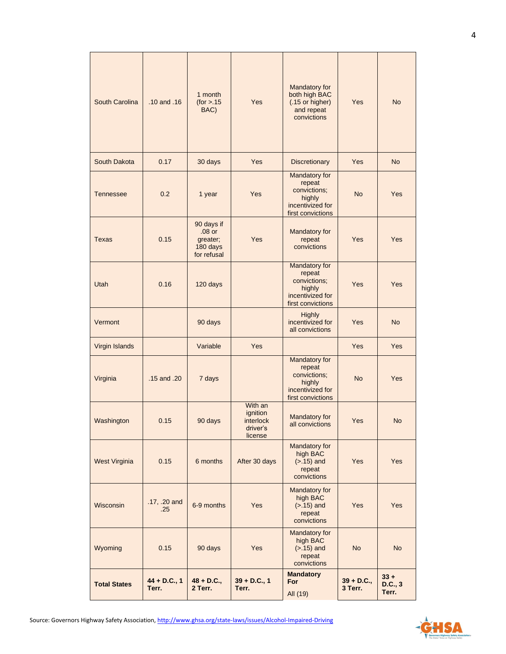| South Carolina       | $.10$ and $.16$         | 1 month<br>(for > .15)<br>BAC)                                | Yes                                                     | Mandatory for<br>both high BAC<br>(.15 or higher)<br>and repeat<br>convictions             | Yes                     | <b>No</b>                  |
|----------------------|-------------------------|---------------------------------------------------------------|---------------------------------------------------------|--------------------------------------------------------------------------------------------|-------------------------|----------------------------|
| South Dakota         | 0.17                    | 30 days                                                       | Yes                                                     | <b>Discretionary</b>                                                                       | Yes                     | <b>No</b>                  |
| <b>Tennessee</b>     | 0.2                     | 1 year                                                        | Yes                                                     | Mandatory for<br>repeat<br>convictions;<br>highly<br>incentivized for<br>first convictions | <b>No</b>               | Yes                        |
| <b>Texas</b>         | 0.15                    | 90 days if<br>$.08$ or<br>greater;<br>180 days<br>for refusal | Yes                                                     | Mandatory for<br>repeat<br>convictions                                                     | Yes                     | Yes                        |
| Utah                 | 0.16                    | 120 days                                                      |                                                         | Mandatory for<br>repeat<br>convictions;<br>highly<br>incentivized for<br>first convictions | Yes                     | Yes                        |
| Vermont              |                         | 90 days                                                       |                                                         | <b>Highly</b><br>incentivized for<br>all convictions                                       | Yes                     | No                         |
| Virgin Islands       |                         | Variable                                                      | Yes                                                     |                                                                                            | Yes                     | Yes                        |
| Virginia             | .15 and .20             | 7 days                                                        |                                                         | Mandatory for<br>repeat<br>convictions;<br>highly<br>incentivized for<br>first convictions | <b>No</b>               | Yes                        |
| Washington           | 0.15                    | 90 days                                                       | With an<br>ignition<br>interlock<br>driver's<br>license | Mandatory for<br>all convictions                                                           | Yes                     | No                         |
| <b>West Virginia</b> | 0.15                    | 6 months                                                      | After 30 days                                           | Mandatory for<br>high BAC<br>$($ >.15 $)$ and<br>repeat<br>convictions                     | Yes                     | Yes                        |
| Wisconsin            | .17, .20 and<br>.25     | 6-9 months                                                    | Yes                                                     | Mandatory for<br>high BAC<br>$(> .15)$ and<br>repeat<br>convictions                        | Yes                     | Yes                        |
| Wyoming              | 0.15                    | 90 days                                                       | Yes                                                     | Mandatory for<br>high BAC<br>$(> .15)$ and<br>repeat<br>convictions                        | <b>No</b>               | <b>No</b>                  |
| <b>Total States</b>  | $44 + D.C., 1$<br>Terr. | $48 + D.C.,$<br>2 Terr.                                       | $39 + D.C., 1$<br>Terr.                                 | <b>Mandatory</b><br>For<br>All (19)                                                        | $39 + D.C.,$<br>3 Terr. | $33 +$<br>D.C., 3<br>Terr. |